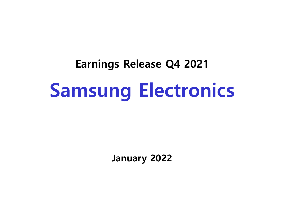# **Earnings Release Q4 2021 Samsung Electronics**

**January 2022**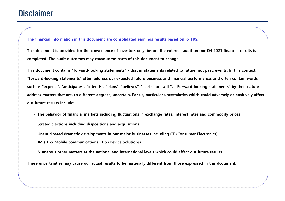## **Disclaimer**

**The financial information in this document are consolidated earnings results based on K-IFRS.** 

**This document is provided for the convenience of investors only, before the external audit on our Q4 2021 financial results is completed. The audit outcomes may cause some parts of this document to change.**

**This document contains "forward-looking statements" - that is, statements related to future, not past, events. In this context, "forward-looking statements" often address our expected future business and financial performance, and often contain words such as "expects", "anticipates", "intends", "plans", "believes", "seeks" or "will ". "Forward-looking statements" by their nature address matters that are, to different degrees, uncertain. For us, particular uncertainties which could adversely or positively affect our future results include:** 

- **· The behavior of financial markets including fluctuations in exchange rates, interest rates and commodity prices**
- **· Strategic actions including dispositions and acquisitions**
- **· Unanticipated dramatic developments in our major businesses including CE (Consumer Electronics), IM (IT & Mobile communications), DS (Device Solutions)**
- **· Numerous other matters at the national and international levels which could affect our future results**

**These uncertainties may cause our actual results to be materially different from those expressed in this document.**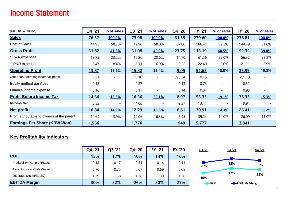## Income Statement

| (Unit: KRW Trillion)                        | Q4 '21       | % of sales               | Q3 '21       | % of sales               | Q4 '20           | <b>FY '21</b> | % of sales               | <b>FY '20</b>    | % of sales |
|---------------------------------------------|--------------|--------------------------|--------------|--------------------------|------------------|---------------|--------------------------|------------------|------------|
| <b>Sales</b>                                | 76.57        | 100.0%                   | 73.98        | 100.0%                   | 61.55            | 279.60        | 100.0%                   | 236.81           | 100.0%     |
| <b>Cost of Sales</b>                        | 44.95        | 58.7%                    | 42.90        | 58.0%                    | 37.80            | 166.41        | 59.5%                    | 144.49           | 61.0%      |
| <b>Gross Profit</b>                         | 31.62        | 41.3%                    | 31.08        | 42.0%                    | 23.75            | 113.19        | 40.5%                    | 92.32            | 39.0%      |
| SG&A expenses                               | 17.75        | 23.2%                    | 15.26        | 20.6%                    | 14.70            | 61.56         | 22.0%                    | 56.32            | 23.8%      |
| - R&D expenses                              | 6.47         | 8.4%                     | 5.11         | 6.9%                     | 5.22             | 22.40         | 8.0%                     | 21.11            | 8.9%       |
| <b>Operating Profit</b>                     | 13.87        | <u>18.1%</u>             | 15.82        | 21.4%                    | 9.05             | 51.63         | <u>18.5%</u>             | 35.99            | 15.2%      |
| Other non-operating income/expense          | 0.21         |                          | 0.10         | $\overline{\phantom{a}}$ | $\triangle$ 0.34 | 0.15          |                          | $\triangle$ 1.10 |            |
| Equity method gain/loss                     | 0.13         |                          | 0.27         |                          | 0.13             | 0.73          | $\overline{\phantom{a}}$ | 0.51             |            |
| Finance income/expense                      | 0.16         | $\overline{\phantom{a}}$ | 0.17         | $\overline{\phantom{a}}$ | 0.14             | 0.84          | $\overline{\phantom{a}}$ | 0.95             |            |
| <b>Profit Before Income Tax</b>             | 14.36        | <u>18.8%</u>             | 16.36        | 22.1%                    | 8.97             | 53.35         | <u>19.1%</u>             | 36.35            | 15.3%      |
| Income tax                                  | 3.52         | $\sim$                   | 4.06         | $\equiv$                 | 2.37             | 13.44         | $\sim$                   | 9.94             |            |
| <b>Net profit</b>                           | <u>10.84</u> | 14.2%                    | <u>12.29</u> | <b>16.6%</b>             | 6.61             | 39.91         | 14.3%                    | 26.41            | 11.2%      |
| Profit attributable to owners of the parent | 10.64        | 13.9%                    | 12.06        | 16.3%                    | 6.45             | 39.24         | 14.0%                    | 26.09            | 11.0%      |
| <b>Earnings Per Share (KRW Won)</b>         | 1,566        |                          | 1,776        |                          | 949              | 5,777         |                          | 3,841            |            |

#### **Key Profitability Indicators**

|                                  | Q4 '21 | '21<br>Q3 | Q4 '20 | <b>FY '21</b> | <b>FY '20</b> | 4Q '20 | 3Q '21 | 4Q '21        |
|----------------------------------|--------|-----------|--------|---------------|---------------|--------|--------|---------------|
| <b>ROE</b>                       | 15%    | 17%       | 10%    | 14%           | 10%           |        |        |               |
| Profitability (Net profit/Sales) | 0.14   | 0.17      | 0.11   | 0.14          | 0.11          |        | 32%    | 30%           |
| Asset turnover (Sales/Asset)     | 0.76   | 0.75      | 0.67   | 0.69          | 0.65          | 26%    |        |               |
| Leverage (Asset/Equity)          | 1.39   | .38       | l.36   | l.39          | 1.36          | 10%    | 17%    | 15%           |
| <b>EBITDA Margin</b>             | 30%    | 32%       | 26%    | 30%           | 27%           | $-ROE$ |        | -BITDA Margin |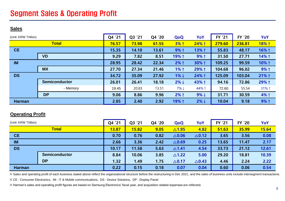## Segment Sales & Operating Profit

#### **Sales**

| (Unit: KRW Trillion) |                      | Q4 '21 | Q3 '21 | Q4 '20 | QoQ              | YoY              | <b>FY '21</b> | <b>FY '20</b> | YoY     |
|----------------------|----------------------|--------|--------|--------|------------------|------------------|---------------|---------------|---------|
|                      | <b>Total</b>         | 76.57  | 73.98  | 61.55  | 3% 1             | 24% 1            | 279.60        | 236.81        | 18% 1   |
| <b>CE</b>            |                      | 15.35  | 14.10  | 13.61  | 9% 1             | 13% 1            | 55.83         | 48.17         | 16% ↑   |
|                      | <b>VD</b>            | 9.29   | 7.82   | 8.51   | 19% 1            | 9% 1             | 31.50         | 27.71         | 14% 1   |
| <b>IM</b>            |                      | 28.95  | 28.42  | 22.34  | $2%$ ↑           | 30% 1            | 109.25        | 99.59         | 10% 1   |
|                      | <b>MX</b>            | 27.70  | 27.34  | 21.46  | $1%$ ↑           | 29% 1            | 104.68        | 96.02         | 9% 1    |
| <b>DS</b>            |                      | 34.72  | 35.09  | 27.92  | $1\% \downarrow$ | 24% 1            | 125.09        | 103.04        | $21%$ ↑ |
|                      | <b>Semiconductor</b> | 26.01  | 26.41  | 18.18  | $2\% \downarrow$ | 43% 1            | 94.16         | 72.86         | 29% 1   |
|                      | - Memory             | 19.45  | 20.83  | 13.51  | $7\% \downarrow$ | 44% 1            | 72.60         | 55.54         | 31% 1   |
|                      | <b>DP</b>            | 9.06   | 8.86   | 9.96   | $2%$ ↑           | $9\% \downarrow$ | 31.71         | 30.59         | 4% 1    |
| <b>Harman</b>        |                      | 2.85   | 2.40   | 2.92   | 19% 1            | $2\% \downarrow$ | 10.04         | 9.18          | 9% 1    |

#### **Operating Profit**

| (Unit: KRW Trillion) |                      | Q4 '21 | Q3 '21 | Q4 '20 | QoQ              | YoY              | <b>FY '21</b> | <b>FY '20</b> | YoY   |
|----------------------|----------------------|--------|--------|--------|------------------|------------------|---------------|---------------|-------|
|                      | <b>Total</b>         | 13.87  | 15.82  | 9.05   | $\triangle$ 1.95 | 4.82             | 51.63         | 35.99         | 15.64 |
| <b>CE</b>            |                      | 0.70   | 0.76   | 0.82   | $\triangle$ 0.06 | $\triangle$ 0.12 | 3.65          | 3.56          | 0.08  |
| <b>IM</b>            |                      | 2.66   | 3.36   | 2.42   | $\triangle$ 0.69 | 0.25             | 13.65         | 11.47         | 2.17  |
| <b>DS</b>            |                      | 10.17  | 11.58  | 5.63   | $\triangle$ 1.41 | 4.54             | 33.73         | 21.12         | 12.61 |
|                      | <b>Semiconductor</b> | 8.84   | 10.06  | 3.85   | $\triangle$ 1.22 | 5.00             | 29.20         | 18.81         | 10.39 |
|                      | <b>DP</b>            | 1.32   | 1.49   | 1.75   | $\triangle$ 0.17 | $\triangle$ 0.43 | 4.46          | 2.24          | 2.22  |
| <b>Harman</b>        |                      | 0.22   | 0.15   | 0.18   | 0.07             | 0.04             | 0.60          | 0.06          | 0.54  |

※ Sales and operating profit of each business stated above reflect the organizational structure before the restructuring in Dec 2021, and the sales of business units include intersegment transactions.

※ CE : Consumer Electronics, IM : IT & Mobile communications, DS : Device Solutions, DP : Display Panel

※ Harman's sales and operating profit figures are based on Samsung Electronics' fiscal year, and acquisition related expenses are reflected.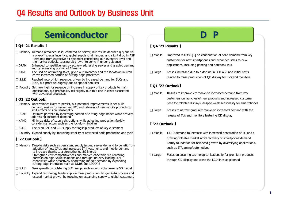## Q4 Results and Outlook by Business Unit

## **Semiconductor**

#### **【 Q4 '21 Results 】**

- $\Box$  Memory Demand remained solid, centered on server, but results declined 0-0 due to a one-off special incentive, global supply chain issues, and slight drop in ASP Refrained from excessive bit shipment considering our inventory level and the market outlook, causing bit growth to come in under guidance
- DRAM Enhanced competitiveness by actively addressing server and graphic demand and by increasing portion of 15-nano
- NAND Focused on optimizing sales, given our inventory and the lockdown in Xi'an as we increased portion of cutting-edge processes
- $\square$  S.LSI Reached record-high revenue, driven by increased demand for SoCs and DDIs, but profit fell slightly due to special bonuses
- $\square$  Foundry Set new high for revenue on increase in supply of key products to main applications, but profitability fell slightly due to a rise in costs associated with advanced processes

#### **【 Q1 '22 Outlook】**

- $\square$  Memory Uncertainties likely to persist, but potential improvements in set build demand, mainly for server and PC, and releases of new mobile products to limit effects of slow seasonality
- DRAM Optimize portfolio by increasing portion of cutting-edge nodes while actively addressing customer demand
- NAND Minimize risks of supply disruptions while adjusting production flexibly considering factors such as the lockdown in Xi'an
- $\Box$  S.LSI Focus on SoC and CIS supply for flagship products of key customers
- $\Box$  Foundry Expand supply by improving stability of advanced node production and yield

#### **【 '22 Outlook 】**

- $\square$  Memory Despite risks such as persistent supply issues, server demand to benefit from adoption of new CPUs and increased IT investments and mobile demand to increase thanks to a strengthened 5G line-up Strengthen cost competitiveness and market leadership via centering portfolio on high-value solutions and through industry leading EUV capabilities while proactively addressing market demand by expanding cutting-edge interfaces such as DDR5 and LPDDR5
- $\Box$  S.LSI Seek growth by bolstering SoC lineup, such as with volume-zone 5G model
- $\square$  Foundry Expand technology leadership via mass production 1st gen GAA process and exceed market growth by focusing on expanding supply to global customers

#### **【 Q4 '21 Results 】**

- $\Box$  Mobile Improved results Q-Q on continuation of solid demand from key customers for new smartphones and expanded sales to new applications, including gaming and notebook PCs
- $\Box$  Large Losses increased due to a decline in LCD ASP and initial costs related to mass production of QD display for TVs and monitors

#### **【 Q1 '22 Outlook】**

- $\Box$  Mobile Results to improve Y-Y thanks to increased demand from key customers on launches of new products and increased customer base for foldable displays, despite weak seasonality for smartphones
- $\Box$  Large Losses to narrow gradually thanks to increased demand with the release of TVs and monitors featuring QD display

#### **【 '22 Outlook 】**

- $\Box$  Mobile OLED demand to increase with increased penetration of 5G and a growing foldable market amid recovery of smartphone demand Fortify foundation for balanced growth by diversifying applications, such as IT/gaming/automotives
- $\Box$  Large Focus on securing technological leadership for premium products through QD display and close the LCD lines as planned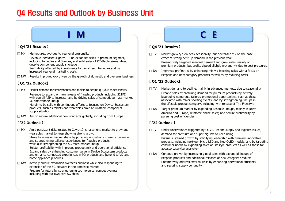## Q4 Results and Outlook by Business Unit

#### **【 Q4 '21 Results 】**

 $\Box$  MX Market grew  $Q$ -Q due to year-end seasonality

Revenue increased slightly 0-0 on expanded sales in premium segment, including foldables and S-series, and solid sales of PCs/tablets/wearables, despite component supply shortage Profitability affected by investments to mainstream foldables and by

increased year-end marketing costs

 $\Box$  NW Results improved  $\Diamond \Diamond$  driven by the growth of domestic and overseas business

#### **【 Q1 '22 Outlook】**

 $\Box$  MX Market demand for smartphones and tablets to decline  $\Diamond \neg$  due to seasonality Revenue to expand on new release of flagship products including S21FE, with overall ASP to increase; and by driving sales of competitive mass-market 5G smartphone lineup

Margin to be solid with continuous efforts to focused on Device Ecosystem products, such as tablets and wearables amid an unstable component supply situation

 $\Box$  NW Aim to secure additional new contracts globally, including from Europe

#### **【 '22 Outlook 】**

 $\Box$  MX Amid persistent risks related to Covid-19, smartphone market to grow and wearables market to keep showing strong growth Strive to increase market share by pursuing innovations in user experience and strengthening tailored experiences for flagship products, while also strengthening the 5G mass-market lineup

Bolster profitability with improved product mix and operational efficiency Expand sales by enhancing customer value in Device Ecosystem products and enhance connected experiences in MX products and beyond to VD and home appliance products

 $\Box$  NW Actively pursue expansion overseas business while also responding to extension of the 5G network in the domestic market Prepare for future by strengthening technological competitiveness, including with our own core 5G chips

#### **【 Q4 '21 Results 】**

**I M C E**

- $\Box$  TV Market grew 0-0 on peak seasonality, but decreased Y-Y on the base effect of strong pent-up demand in the previous year Preemptively targeted seasonal demand and grew sales, mainly of premium products, but profits dipped slightly Q-Q and Y-Y due to cost pressures
- $\Box$  DA Improved profits  $\circ$ - $\circ$  by enhancing mix via boosting sales with a focus on Bespoke and new-category products as well as by reducing costs

#### **【 Q1 '22 Outlook】**

 $\Box$  TV Market demand to decline, mainly in advanced markets, due to seasonality

Expand sales by capturing demand for premium products by actively leveraging numerous, tailored promotional opportunities, such as those associated with major sporting events, and by strengthening lineups in the Lifestyle product category, including with release of The Freestyle

 $\Box$  DA Target premium market by expanding Bespoke lineups, mainly in North America and Europe, reinforce online sales; and secure profitability by pursuing cost efficiencies

#### **【 '22 Outlook 】**

- $\Box$  TV Under uncertainties triggered by COVID-19 and supply and logistics issues, demand for premium and super big TVs to keep rising Pursue sustained growth by solidifying leadership with premium innovative products, including next-gen Micro LED and Neo QLED models, and by targeting consumer needs by expanding sales of Lifestyle products as well as those for accessory/service ecosystem
- $\Box$  DA Continue growth by increasing global sales with expanded lineups of Bespoke products and additional releases of new-category products Preemptively address external risks by enhancing operational efficiency and securing supply continuity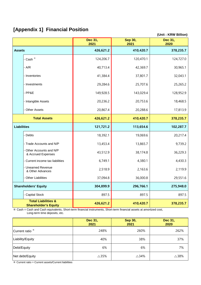### **[Appendix 1] Financial Position**

**(Unit : KRW Billion)**

|                    |                                                               | Dec 31,<br>2021 | Sep 30,<br>2021 | Dec 31,<br>2020 |
|--------------------|---------------------------------------------------------------|-----------------|-----------------|-----------------|
| <b>Assets</b>      |                                                               | 426,621.2       | 410,420.7       | 378,235.7       |
|                    | - Cash <sup>*</sup>                                           | 124,206.7       | 120,470.1       | 124,727.0       |
|                    | $- A/R$                                                       | 40,713.4        | 42,369.7        | 30,965.1        |
|                    | - Inventories                                                 | 41,384.4        | 37,801.7        | 32,043.1        |
|                    | - Investments                                                 | 29,284.6        | 25,707.6        | 25,265.2        |
|                    | - PP&E                                                        | 149,928.5       | 143,029.4       | 128,952.9       |
|                    | - Intangible Assets                                           | 20,236.2        | 20,753.6        | 18,468.5        |
|                    | - Other Assets                                                | 20,867.4        | 20,288.6        | 17,813.9        |
|                    | <b>Total Assets</b>                                           | 426,621.2       | 410,420.7       | 378,235.7       |
| <b>Liabilities</b> |                                                               | 121,721.2       | 113,654.6       | 102,287.7       |
|                    | - Debts                                                       | 18,392.1        | 19,069.6        | 20,217.4        |
|                    | - Trade Accounts and N/P                                      | 13,453.4        | 13,865.7        | 9,739.2         |
|                    | - Other Accounts and N/P<br>& Accrued Expenses                | 43,512.9        | 38,174.8        | 36,229.3        |
|                    | - Current income tax liabilities                              | 6,749.1         | 4,380.1         | 4,430.3         |
|                    | - Unearned Revenue<br>& Other Advances                        | 2,518.9         | 2,163.6         | 2,119.9         |
|                    | - Other Liabilities                                           | 37,094.8        | 36,000.8        | 29,551.6        |
|                    | <b>Shareholders' Equity</b>                                   | 304,899.9       | 296,766.1       | 275,948.0       |
|                    | - Capital Stock                                               | 897.5           | 897.5           | 897.5           |
|                    | <b>Total Liabilities &amp;</b><br><b>Shareholder's Equity</b> | 426,621.2       | 410,420.7       | 378,235.7       |

※ Cash = Cash and Cash equivalents, Short-term financial instruments, Short-term financial assets at amortized cost, Long-term time deposits, etc.

|                            | Dec 31,<br>2021 | Sep 30,<br>2021 | Dec 31,<br>2020 |
|----------------------------|-----------------|-----------------|-----------------|
| Current ratio <sup>*</sup> | 248%            | 260%            | 262%            |
| Liability/Equity           | 40%             | 38%             | 37%             |
| Debt/Equity                | 6%              | 6%              | 7%              |
| Net debt/Equity            | $\triangle$ 35% | $\triangle$ 34% | $\triangle$ 38% |

※ Current ratio = Current assets/Current liabilities